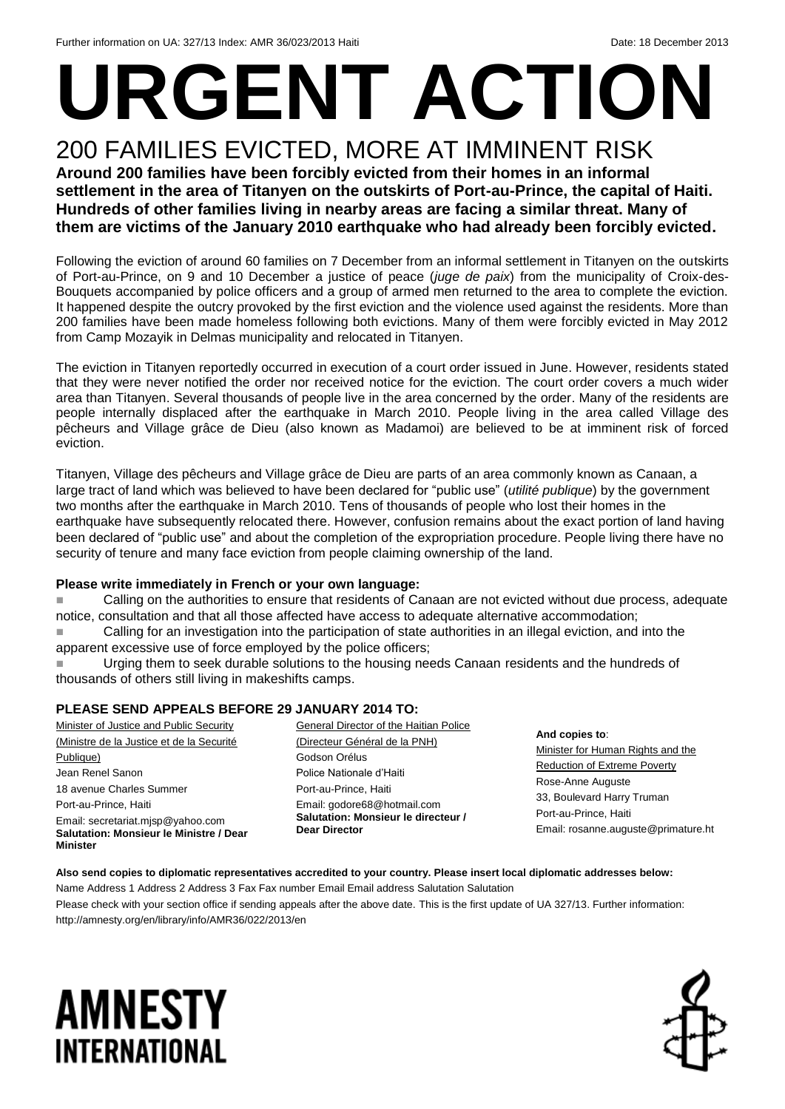# **URGENT ACTION**

## 200 FAMILIES EVICTED, MORE AT IMMINENT RISK

**Around 200 families have been forcibly evicted from their homes in an informal settlement in the area of Titanyen on the outskirts of Port-au-Prince, the capital of Haiti. Hundreds of other families living in nearby areas are facing a similar threat. Many of them are victims of the January 2010 earthquake who had already been forcibly evicted.**

Following the eviction of around 60 families on 7 December from an informal settlement in Titanyen on the outskirts of Port-au-Prince, on 9 and 10 December a justice of peace (*juge de paix*) from the municipality of Croix-des-Bouquets accompanied by police officers and a group of armed men returned to the area to complete the eviction. It happened despite the outcry provoked by the first eviction and the violence used against the residents. More than 200 families have been made homeless following both evictions. Many of them were forcibly evicted in May 2012 from Camp Mozayik in Delmas municipality and relocated in Titanyen.

The eviction in Titanyen reportedly occurred in execution of a court order issued in June. However, residents stated that they were never notified the order nor received notice for the eviction. The court order covers a much wider area than Titanyen. Several thousands of people live in the area concerned by the order. Many of the residents are people internally displaced after the earthquake in March 2010. People living in the area called Village des pêcheurs and Village grâce de Dieu (also known as Madamoi) are believed to be at imminent risk of forced eviction.

Titanyen, Village des pêcheurs and Village grâce de Dieu are parts of an area commonly known as Canaan, a large tract of land which was believed to have been declared for "public use" (*utilité publique*) by the government two months after the earthquake in March 2010. Tens of thousands of people who lost their homes in the earthquake have subsequently relocated there. However, confusion remains about the exact portion of land having been declared of "public use" and about the completion of the expropriation procedure. People living there have no security of tenure and many face eviction from people claiming ownership of the land.

#### **Please write immediately in French or your own language:**

Calling on the authorities to ensure that residents of Canaan are not evicted without due process, adequate notice, consultation and that all those affected have access to adequate alternative accommodation;

 Calling for an investigation into the participation of state authorities in an illegal eviction, and into the apparent excessive use of force employed by the police officers;

 Urging them to seek durable solutions to the housing needs Canaan residents and the hundreds of thousands of others still living in makeshifts camps.

#### **PLEASE SEND APPEALS BEFORE 29 JANUARY 2014 TO:**

Minister of Justice and Public Security (Ministre de la Justice et de la Securité Publique) Jean Renel Sanon 18 avenue Charles Summer Port-au-Prince, Haiti Email: secretariat.mjsp@yahoo.com **Salutation: Monsieur le Ministre / Dear Minister**

General Director of the Haitian Police (Directeur Général de la PNH) Godson Orélus Police Nationale d'Haiti Port-au-Prince, Haiti Email: godore68@hotmail.com **Salutation: Monsieur le directeur / Dear Director**

**And copies to**:

Minister for Human Rights and the Reduction of Extreme Poverty Rose-Anne Auguste 33, Boulevard Harry Truman Port-au-Prince, Haiti Email: rosanne.auguste@primature.ht

#### **Also send copies to diplomatic representatives accredited to your country. Please insert local diplomatic addresses below:** Name Address 1 Address 2 Address 3 Fax Fax number Email Email address Salutation Salutation

Please check with your section office if sending appeals after the above date. This is the first update of UA 327/13. Further information: http://amnesty.org/en/library/info/AMR36/022/2013/en